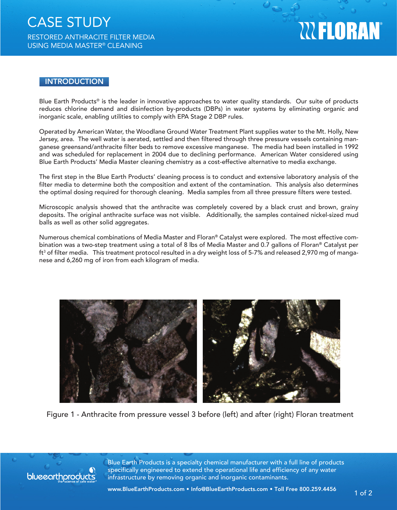# **WELORAN**

### **INTRODUCTION**

Blue Earth Products® is the leader in innovative approaches to water quality standards. Our suite of products reduces chlorine demand and disinfection by-products (DBPs) in water systems by eliminating organic and inorganic scale, enabling utilities to comply with EPA Stage 2 DBP rules.

Operated by American Water, the Woodlane Ground Water Treatment Plant supplies water to the Mt. Holly, New Jersey, area. The well water is aerated, settled and then filtered through three pressure vessels containing manganese greensand/anthracite filter beds to remove excessive manganese. The media had been installed in 1992 and was scheduled for replacement in 2004 due to declining performance. American Water considered using Blue Earth Products' Media Master cleaning chemistry as a cost-effective alternative to media exchange.

The first step in the Blue Earth Products' cleaning process is to conduct and extensive laboratory analysis of the filter media to determine both the composition and extent of the contamination. This analysis also determines the optimal dosing required for thorough cleaning. Media samples from all three pressure filters were tested.

Microscopic analysis showed that the anthracite was completely covered by a black crust and brown, grainy deposits. The original anthracite surface was not visible. Additionally, the samples contained nickel-sized mud balls as well as other solid aggregates.

Numerous chemical combinations of Media Master and Floran® Catalyst were explored. The most effective combination was a two-step treatment using a total of 8 lbs of Media Master and 0.7 gallons of Floran® Catalyst per  $\rm{ft}^3$  of filter media.  $\,$  This treatment protocol resulted in a dry weight loss of 5-7% and released 2,970 mg of manganese and 6,260 mg of iron from each kilogram of media.



Figure 1 - Anthracite from pressure vessel 3 before (left) and after (right) Floran treatment



Blue Earth Products is a specialty chemical manufacturer with a full line of products specifically engineered to extend the operational life and efficiency of any water **blue earth products** infrastructure by removing organic and inorganic contaminants.